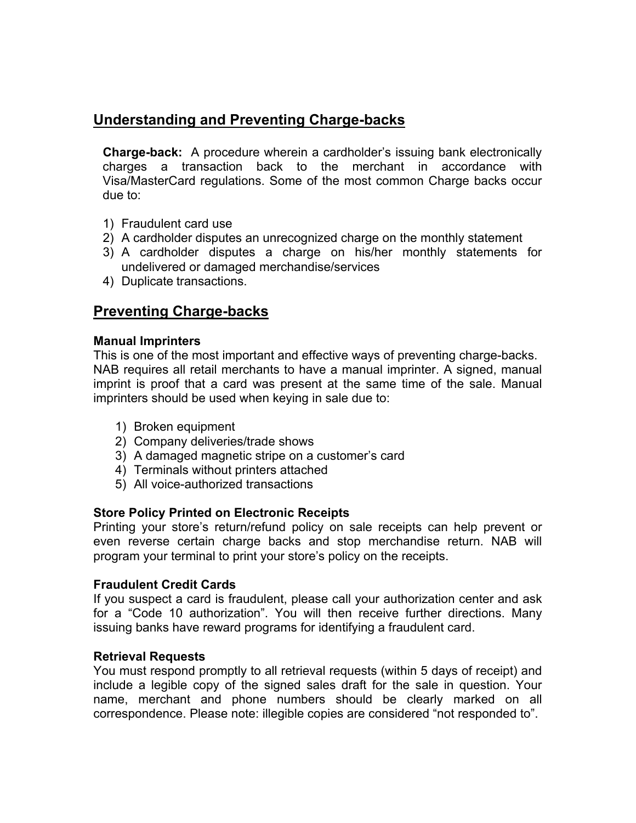## **Understanding and Preventing Charge-backs**

**Charge-back:** A procedure wherein a cardholder's issuing bank electronically charges a transaction back to the merchant in accordance with Visa/MasterCard regulations. Some of the most common Charge backs occur due to:

- 1) Fraudulent card use
- 2) A cardholder disputes an unrecognized charge on the monthly statement
- 3) A cardholder disputes a charge on his/her monthly statements for undelivered or damaged merchandise/services
- 4) Duplicate transactions.

### **Preventing Charge-backs**

#### **Manual Imprinters**

This is one of the most important and effective ways of preventing charge-backs. NAB requires all retail merchants to have a manual imprinter. A signed, manual imprint is proof that a card was present at the same time of the sale. Manual imprinters should be used when keying in sale due to:

- 1) Broken equipment
- 2) Company deliveries/trade shows
- 3) A damaged magnetic stripe on a customer's card
- 4) Terminals without printers attached
- 5) All voice-authorized transactions

#### **Store Policy Printed on Electronic Receipts**

Printing your store's return/refund policy on sale receipts can help prevent or even reverse certain charge backs and stop merchandise return. NAB will program your terminal to print your store's policy on the receipts.

#### **Fraudulent Credit Cards**

If you suspect a card is fraudulent, please call your authorization center and ask for a "Code 10 authorization". You will then receive further directions. Many issuing banks have reward programs for identifying a fraudulent card.

#### **Retrieval Requests**

You must respond promptly to all retrieval requests (within 5 days of receipt) and include a legible copy of the signed sales draft for the sale in question. Your name, merchant and phone numbers should be clearly marked on all correspondence. Please note: illegible copies are considered "not responded to".